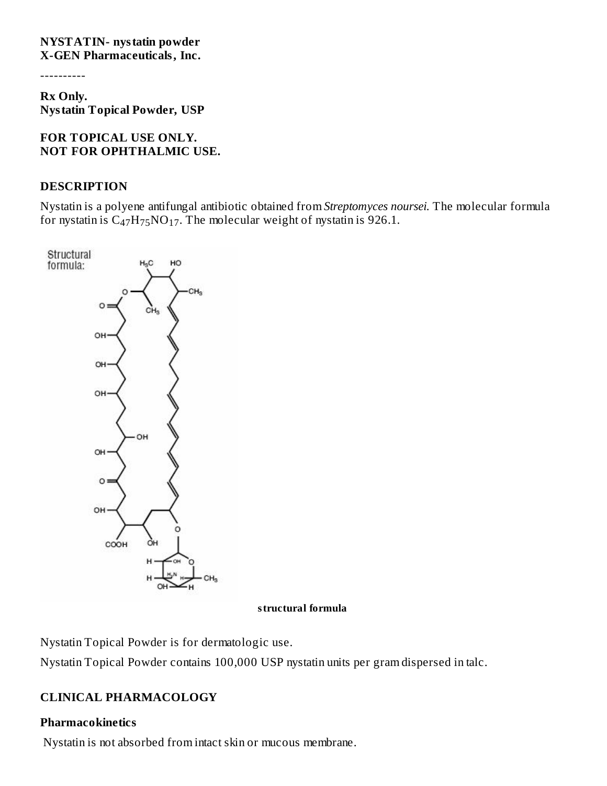#### **NYSTATIN- nystatin powder X-GEN Pharmaceuticals, Inc.**

----------

**Rx Only. Nystatin Topical Powder, USP**

#### **FOR TOPICAL USE ONLY. NOT FOR OPHTHALMIC USE.**

#### **DESCRIPTION**

Nystatin is a polyene antifungal antibiotic obtained from *Streptomyces noursei.* The molecular formula for nystatin is  $C_{47}H_{75}NO_{17}$ . The molecular weight of nystatin is 926.1.



#### **structural formula**

Nystatin Topical Powder is for dermatologic use.

Nystatin Topical Powder contains 100,000 USP nystatin units per gram dispersed in talc.

# **CLINICAL PHARMACOLOGY**

### **Pharmacokinetics**

Nystatin is not absorbed from intact skin or mucous membrane.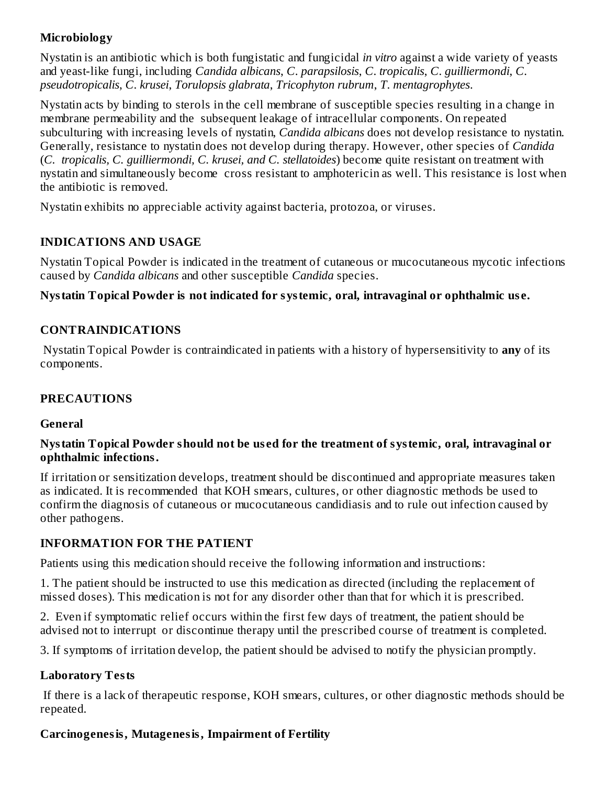## **Microbiology**

Nystatin is an antibiotic which is both fungistatic and fungicidal *in vitro* against a wide variety of yeasts and yeast-like fungi, including *Candida albicans*, *C*. *parapsilosis*, *C*. *tropicalis*, *C*. *guilliermondi*, *C*. *pseudotropicalis*, *C*. *krusei*, *Torulopsis glabrata*, *Tricophyton rubrum*, *T*. *mentagrophytes*.

Nystatin acts by binding to sterols in the cell membrane of susceptible species resulting in a change in membrane permeability and the subsequent leakage of intracellular components. On repeated subculturing with increasing levels of nystatin, *Candida albicans* does not develop resistance to nystatin. Generally, resistance to nystatin does not develop during therapy. However, other species of *Candida* (*C. tropicalis, C. guilliermondi, C. krusei, and C. stellatoides*) become quite resistant on treatment with nystatin and simultaneously become cross resistant to amphotericin as well. This resistance is lost when the antibiotic is removed.

Nystatin exhibits no appreciable activity against bacteria, protozoa, or viruses.

## **INDICATIONS AND USAGE**

Nystatin Topical Powder is indicated in the treatment of cutaneous or mucocutaneous mycotic infections caused by *Candida albicans* and other susceptible *Candida* species.

### **Nystatin Topical Powder is not indicated for systemic, oral, intravaginal or ophthalmic us e.**

## **CONTRAINDICATIONS**

Nystatin Topical Powder is contraindicated in patients with a history of hypersensitivity to **any** of its components.

## **PRECAUTIONS**

### **General**

#### **Nystatin Topical Powder should not be us ed for the treatment of systemic, oral, intravaginal or ophthalmic infections.**

If irritation or sensitization develops, treatment should be discontinued and appropriate measures taken as indicated. It is recommended that KOH smears, cultures, or other diagnostic methods be used to confirm the diagnosis of cutaneous or mucocutaneous candidiasis and to rule out infection caused by other pathogens.

### **INFORMATION FOR THE PATIENT**

Patients using this medication should receive the following information and instructions:

1. The patient should be instructed to use this medication as directed (including the replacement of missed doses). This medication is not for any disorder other than that for which it is prescribed.

2. Even if symptomatic relief occurs within the first few days of treatment, the patient should be advised not to interrupt or discontinue therapy until the prescribed course of treatment is completed.

3. If symptoms of irritation develop, the patient should be advised to notify the physician promptly.

### **Laboratory Tests**

If there is a lack of therapeutic response, KOH smears, cultures, or other diagnostic methods should be repeated.

### **Carcinogenesis, Mutagenesis, Impairment of Fertility**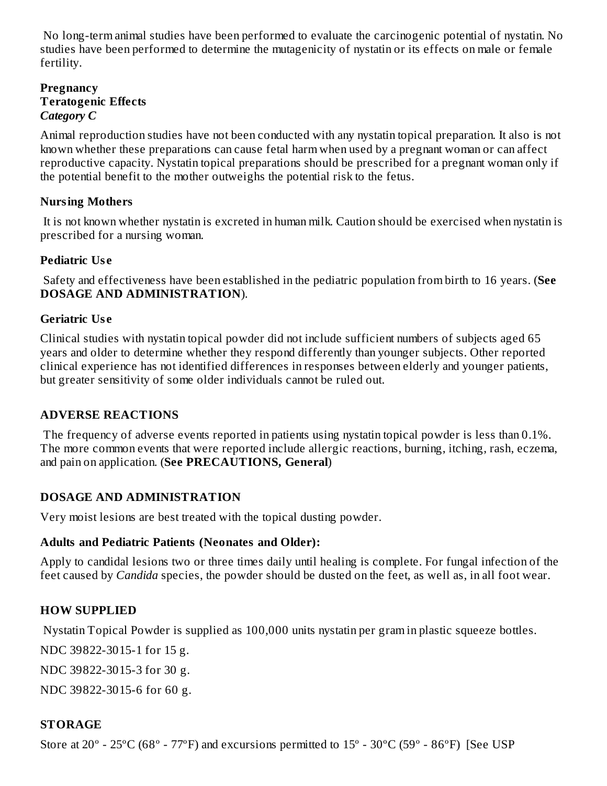No long-term animal studies have been performed to evaluate the carcinogenic potential of nystatin. No studies have been performed to determine the mutagenicity of nystatin or its effects on male or female fertility.

#### **Pregnancy Teratogenic Effects** *Category C*

Animal reproduction studies have not been conducted with any nystatin topical preparation. It also is not known whether these preparations can cause fetal harm when used by a pregnant woman or can affect reproductive capacity. Nystatin topical preparations should be prescribed for a pregnant woman only if the potential benefit to the mother outweighs the potential risk to the fetus.

## **Nursing Mothers**

It is not known whether nystatin is excreted in human milk. Caution should be exercised when nystatin is prescribed for a nursing woman.

## **Pediatric Us e**

Safety and effectiveness have been established in the pediatric population from birth to 16 years. (**See DOSAGE AND ADMINISTRATION**).

## **Geriatric Us e**

Clinical studies with nystatin topical powder did not include sufficient numbers of subjects aged 65 years and older to determine whether they respond differently than younger subjects. Other reported clinical experience has not identified differences in responses between elderly and younger patients, but greater sensitivity of some older individuals cannot be ruled out.

# **ADVERSE REACTIONS**

The frequency of adverse events reported in patients using nystatin topical powder is less than 0.1%. The more common events that were reported include allergic reactions, burning, itching, rash, eczema, and pain on application. (**See PRECAUTIONS, General**)

# **DOSAGE AND ADMINISTRATION**

Very moist lesions are best treated with the topical dusting powder.

### **Adults and Pediatric Patients (Neonates and Older):**

Apply to candidal lesions two or three times daily until healing is complete. For fungal infection of the feet caused by *Candida* species, the powder should be dusted on the feet, as well as, in all foot wear.

# **HOW SUPPLIED**

Nystatin Topical Powder is supplied as 100,000 units nystatin per gram in plastic squeeze bottles.

NDC 39822-3015-1 for 15 g.

NDC 39822-3015-3 for 30 g.

NDC 39822-3015-6 for 60 g.

# **STORAGE**

Store at  $20^{\circ}$  -  $25^{\circ}$ C (68 $^{\circ}$  -  $77^{\circ}$ F) and excursions permitted to  $15^{\circ}$  -  $30^{\circ}$ C (59 $^{\circ}$  -  $86^{\circ}$ F) [See USP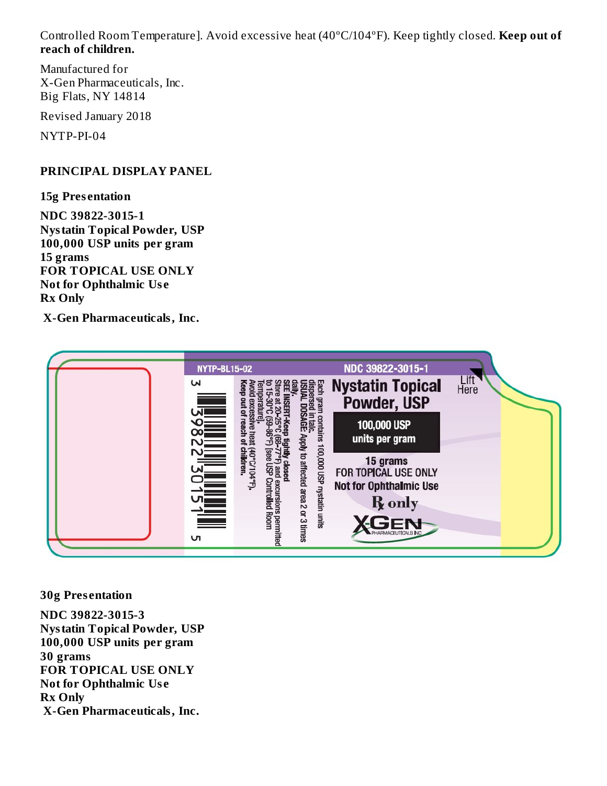Controlled Room Temperature]. Avoid excessive heat (40ºC/104ºF). Keep tightly closed. **Keep out of reach of children.**

Manufactured for X-Gen Pharmaceuticals, Inc. Big Flats, NY 14814

Revised January 2018

NYTP-PI-04

#### **PRINCIPAL DISPLAY PANEL**

**15g Pres entation**

**NDC 39822-3015-1 Nystatin Topical Powder, USP 100,000 USP units per gram 15 grams FOR TOPICAL USE ONLY Not for Ophthalmic Us e Rx Only**

**X-Gen Pharmaceuticals, Inc.**



**30g Pres entation**

**NDC 39822-3015-3 Nystatin Topical Powder, USP 100,000 USP units per gram 30 grams FOR TOPICAL USE ONLY Not for Ophthalmic Us e Rx Only X-Gen Pharmaceuticals, Inc.**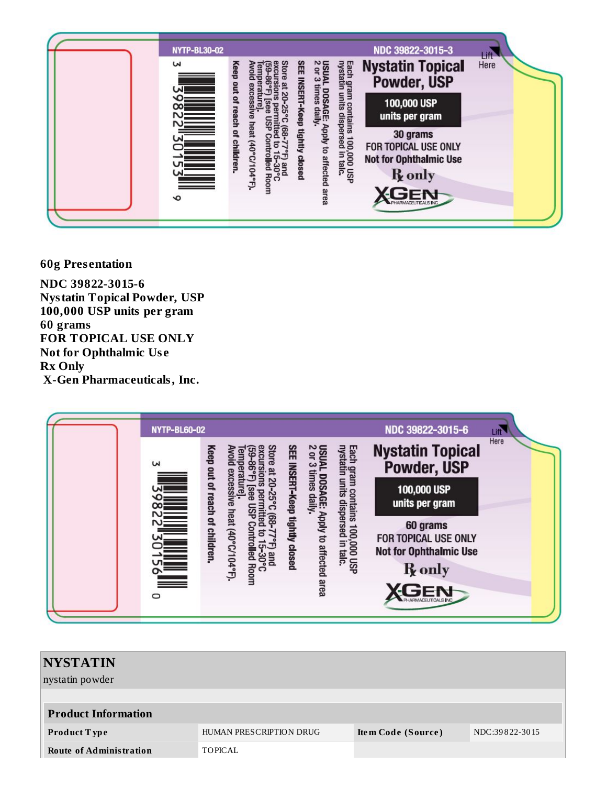

**60g Presentation** 

NDC 39822-3015-6 **Nystatin Topical Powder, USP** 100,000 USP units per gram 60 grams FOR TOPICAL USE ONLY **Not for Ophthalmic Use Rx Only** X-Gen Pharmaceuticals, Inc.

| <b>NYTP-BL60-02</b>                        |                                                                                               |                                                                                                                         | NDC 39822-3015-6                                                  | Lift |
|--------------------------------------------|-----------------------------------------------------------------------------------------------|-------------------------------------------------------------------------------------------------------------------------|-------------------------------------------------------------------|------|
| $\mathbf{z}$                               | Stor                                                                                          | <b>USUAL DOSA</b><br>2 or 3 times                                                                                       | <b>Nystatin Topical</b><br>Powder, USP                            | Here |
| <b>THE REAL PROPERTY AND REAL PROPERTY</b> | SEE INSERT-Keep tightly closed<br>Keep out of reach of children<br>xcessive heat (40°C/104°F) | Each gram contains 100,000 USP<br>nystatin units dispersed in talc.<br>. DOSAGE: Apply to affected area<br>times daily. | 100,000 USP<br>units per gram                                     |      |
|                                            |                                                                                               |                                                                                                                         | 60 grams<br>FOR TOPICAL USE ONLY<br><b>Not for Ophthalmic Use</b> |      |
|                                            | olled Room<br>F) and<br>15-30°C                                                               |                                                                                                                         | R <sub>only</sub><br>F⊏N+                                         |      |
| $\circ$                                    |                                                                                               |                                                                                                                         |                                                                   |      |

| <b>NYSTATIN</b>                |                         |                    |                |
|--------------------------------|-------------------------|--------------------|----------------|
| nystatin powder                |                         |                    |                |
|                                |                         |                    |                |
| <b>Product Information</b>     |                         |                    |                |
| Product Type                   | HUMAN PRESCRIPTION DRUG | Item Code (Source) | NDC:39822-3015 |
| <b>Route of Administration</b> | TOPICAL                 |                    |                |